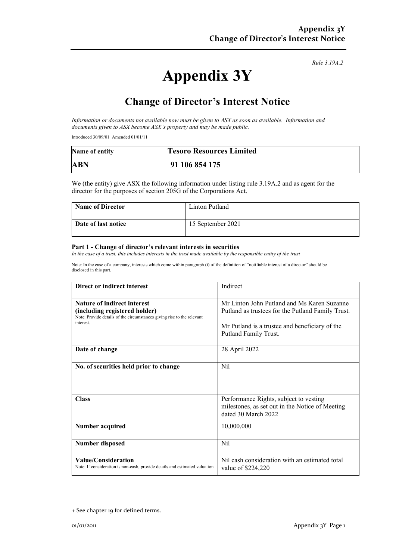*Rule 3.19A.2*

# **Appendix 3Y**

## **Change of Director's Interest Notice**

*Information or documents not available now must be given to ASX as soon as available. Information and documents given to ASX become ASX's property and may be made public.*

Introduced 30/09/01 Amended 01/01/11

| Name of entity | <b>Tesoro Resources Limited</b> |
|----------------|---------------------------------|
| <b>ABN</b>     | 91 106 854 175                  |

We (the entity) give ASX the following information under listing rule 3.19A.2 and as agent for the director for the purposes of section 205G of the Corporations Act.

| <b>Name of Director</b> | Linton Putland    |
|-------------------------|-------------------|
| Date of last notice     | 15 September 2021 |

#### **Part 1 - Change of director's relevant interests in securities**

*In the case of a trust, this includes interests in the trust made available by the responsible entity of the trust*

Note: In the case of a company, interests which come within paragraph (i) of the definition of "notifiable interest of a director" should be disclosed in this part.

| Direct or indirect interest                                                                                                                                | Indirect                                                                                                                                                                    |  |
|------------------------------------------------------------------------------------------------------------------------------------------------------------|-----------------------------------------------------------------------------------------------------------------------------------------------------------------------------|--|
| <b>Nature of indirect interest</b><br>(including registered holder)<br>Note: Provide details of the circumstances giving rise to the relevant<br>interest. | Mr Linton John Putland and Ms Karen Suzanne<br>Putland as trustees for the Putland Family Trust.<br>Mr Putland is a trustee and beneficiary of the<br>Putland Family Trust. |  |
| Date of change                                                                                                                                             | 28 April 2022                                                                                                                                                               |  |
| No. of securities held prior to change                                                                                                                     | Nil                                                                                                                                                                         |  |
| <b>Class</b>                                                                                                                                               | Performance Rights, subject to vesting<br>milestones, as set out in the Notice of Meeting<br>dated 30 March 2022                                                            |  |
| Number acquired                                                                                                                                            | 10,000,000                                                                                                                                                                  |  |
| <b>Number disposed</b>                                                                                                                                     | <b>Nil</b>                                                                                                                                                                  |  |
| <b>Value/Consideration</b><br>Note: If consideration is non-cash, provide details and estimated valuation                                                  | Nil cash consideration with an estimated total<br>value of \$224,220                                                                                                        |  |

<sup>+</sup> See chapter 19 for defined terms.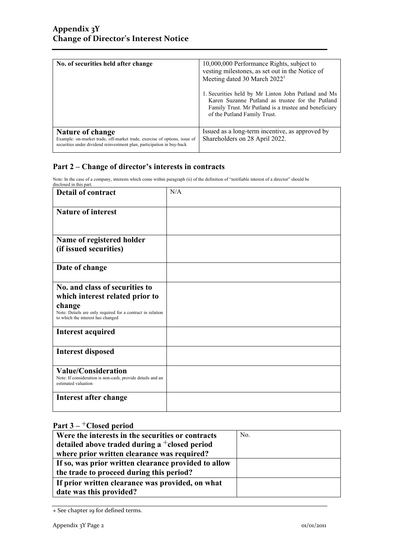| No. of securities held after change                                                                                                                                     | 10,000,000 Performance Rights, subject to<br>vesting milestones, as set out in the Notice of<br>Meeting dated 30 March 2022 <sup>1</sup>                                                         |
|-------------------------------------------------------------------------------------------------------------------------------------------------------------------------|--------------------------------------------------------------------------------------------------------------------------------------------------------------------------------------------------|
|                                                                                                                                                                         | 1. Securities held by Mr Linton John Putland and Ms<br>Karen Suzanne Putland as trustee for the Putland<br>Family Trust. Mr Putland is a trustee and beneficiary<br>of the Putland Family Trust. |
| Nature of change<br>Example: on-market trade, off-market trade, exercise of options, issue of<br>securities under dividend reinvestment plan, participation in buy-back | Issued as a long-term incentive, as approved by<br>Shareholders on 28 April 2022.                                                                                                                |

### **Part 2 – Change of director's interests in contracts**

Note: In the case of a company, interests which come within paragraph (ii) of the definition of "notifiable interest of a director" should be disclosed in this part.

| <b>Detail of contract</b>                                                                                                                                                      | N/A |
|--------------------------------------------------------------------------------------------------------------------------------------------------------------------------------|-----|
| <b>Nature of interest</b>                                                                                                                                                      |     |
| Name of registered holder<br>(if issued securities)                                                                                                                            |     |
| Date of change                                                                                                                                                                 |     |
| No. and class of securities to<br>which interest related prior to<br>change<br>Note: Details are only required for a contract in relation<br>to which the interest has changed |     |
| <b>Interest acquired</b>                                                                                                                                                       |     |
| <b>Interest disposed</b>                                                                                                                                                       |     |
| <b>Value/Consideration</b><br>Note: If consideration is non-cash, provide details and an<br>estimated valuation                                                                |     |
| Interest after change                                                                                                                                                          |     |

### **Part 3 –** +**Closed period**

| Were the interests in the securities or contracts    | No. |
|------------------------------------------------------|-----|
| detailed above traded during a $^+$ closed period    |     |
| where prior written clearance was required?          |     |
| If so, was prior written clearance provided to allow |     |
| the trade to proceed during this period?             |     |
| If prior written clearance was provided, on what     |     |
| date was this provided?                              |     |

<sup>+</sup> See chapter 19 for defined terms.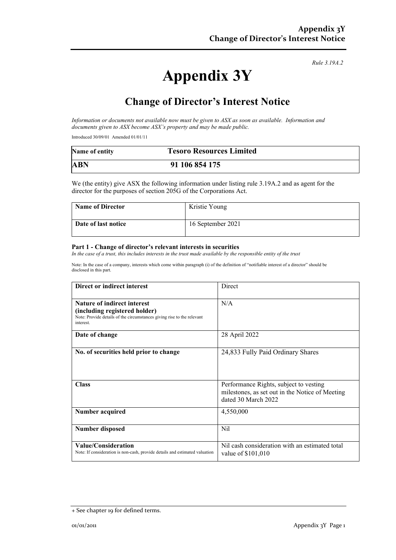*Rule 3.19A.2*

# **Appendix 3Y**

## **Change of Director's Interest Notice**

*Information or documents not available now must be given to ASX as soon as available. Information and documents given to ASX become ASX's property and may be made public.*

Introduced 30/09/01 Amended 01/01/11

| Name of entity | <b>Tesoro Resources Limited</b> |
|----------------|---------------------------------|
| <b>ABN</b>     | 91 106 854 175                  |

We (the entity) give ASX the following information under listing rule 3.19A.2 and as agent for the director for the purposes of section 205G of the Corporations Act.

| <b>Name of Director</b> | Kristie Young     |
|-------------------------|-------------------|
| Date of last notice     | 16 September 2021 |

#### **Part 1 - Change of director's relevant interests in securities**

*In the case of a trust, this includes interests in the trust made available by the responsible entity of the trust*

Note: In the case of a company, interests which come within paragraph (i) of the definition of "notifiable interest of a director" should be disclosed in this part.

| Direct or indirect interest                                                                                                                                | Direct                                                                                                           |
|------------------------------------------------------------------------------------------------------------------------------------------------------------|------------------------------------------------------------------------------------------------------------------|
| <b>Nature of indirect interest</b><br>(including registered holder)<br>Note: Provide details of the circumstances giving rise to the relevant<br>interest. | N/A                                                                                                              |
| Date of change                                                                                                                                             | 28 April 2022                                                                                                    |
| No. of securities held prior to change                                                                                                                     | 24,833 Fully Paid Ordinary Shares                                                                                |
| <b>Class</b>                                                                                                                                               | Performance Rights, subject to vesting<br>milestones, as set out in the Notice of Meeting<br>dated 30 March 2022 |
| Number acquired                                                                                                                                            | 4,550,000                                                                                                        |
| <b>Number disposed</b>                                                                                                                                     | Nil                                                                                                              |
| <b>Value/Consideration</b><br>Note: If consideration is non-cash, provide details and estimated valuation                                                  | Nil cash consideration with an estimated total<br>value of \$101,010                                             |

<sup>+</sup> See chapter 19 for defined terms.